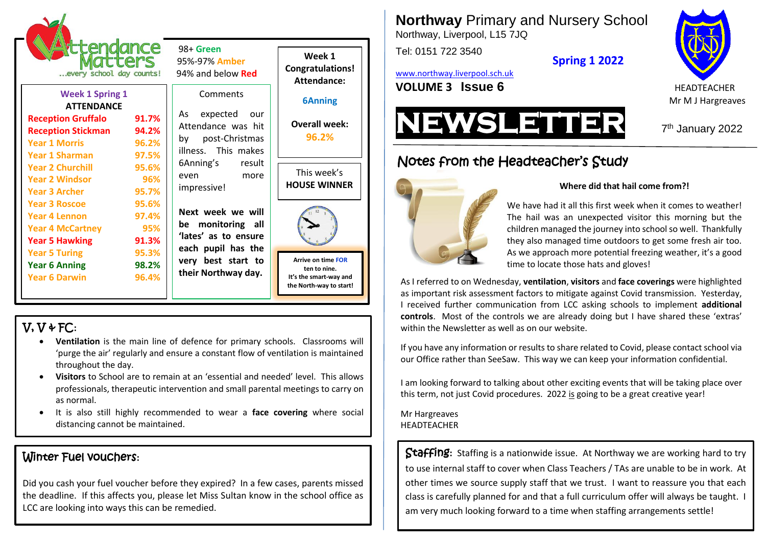

 98+ **Green** 95%-97% **Amber**

| <b>Week 1 Spring 1</b>    |       |  |
|---------------------------|-------|--|
| <b>ATTENDANCE</b>         |       |  |
| <b>Reception Gruffalo</b> | 91.7% |  |
| <b>Reception Stickman</b> | 94.2% |  |
| <b>Year 1 Morris</b>      | 96.2% |  |
| <b>Year 1 Sharman</b>     | 97.5% |  |
| <b>Year 2 Churchill</b>   | 95.6% |  |
| <b>Year 2 Windsor</b>     | 96%   |  |
| <b>Year 3 Archer</b>      | 95.7% |  |
| <b>Year 3 Roscoe</b>      | 95.6% |  |
| <b>Year 4 Lennon</b>      | 97.4% |  |
| <b>Year 4 McCartney</b>   | 95%   |  |
| <b>Year 5 Hawking</b>     | 91.3% |  |
| <b>Year 5 Turing</b>      | 95.3% |  |
| <b>Year 6 Anning</b>      | 98.2% |  |
| <b>Year 6 Darwin</b>      | 96.4% |  |
|                           |       |  |

**Comments** As expected our Attendance was hit

by post-Christmas illness. This makes 6Anning's result even more impressive!

**Next week we will be monitoring all 'lates' as to ensure each pupil has the very best start to their Northway day.**

**Congratulations! Attendance: 6Anning**

**Week 1**

**Overall week:**

**96.2%**

This week's **HOUSE WINNER**



**Arrive on time FOR ten to nine. It's the smart-way and the North-way to start!**

# V, V & FC**:**

- **Ventilation** is the main line of defence for primary schools. Classrooms will 'purge the air' regularly and ensure a constant flow of ventilation is maintained throughout the day.
- **Visitors** to School are to remain at an 'essential and needed' level. This allows professionals, therapeutic intervention and small parental meetings to carry on as normal.
- It is also still highly recommended to wear a **face covering** where social distancing cannot be maintained.

## Winter Fuel vouchers**:**

Did you cash your fuel voucher before they expired? In a few cases, parents missed the deadline. If this affects you, please let Miss Sultan know in the school office as LCC are looking into ways this can be remedied.

**Northway** Primary and Nursery School

Northway, Liverpool, L15 7JQ

Tel: 0151 722 3540

[www.northway.liverpool.sch.uk](http://www.northway.liverpool.sch.uk/)





7<sup>th</sup> January 2022

# Notes from the Headteacher's Study



#### **Where did that hail come from?!**

We have had it all this first week when it comes to weather! The hail was an unexpected visitor this morning but the children managed the journey into school so well. Thankfully they also managed time outdoors to get some fresh air too. As we approach more potential freezing weather, it's a good time to locate those hats and gloves!

As I referred to on Wednesday, **ventilation**, **visitors** and **face coverings** were highlighted as important risk assessment factors to mitigate against Covid transmission. Yesterday, I received further communication from LCC asking schools to implement **additional controls**. Most of the controls we are already doing but I have shared these 'extras' within the Newsletter as well as on our website.

If you have any information or results to share related to Covid, please contact school via our Office rather than SeeSaw. This way we can keep your information confidential.

I am looking forward to talking about other exciting events that will be taking place over this term, not just Covid procedures. 2022 is going to be a great creative year!

Mr Hargreaves HEADTEACHER

Staffing**:** Staffing is a nationwide issue. At Northway we are working hard to try to use internal staff to cover when Class Teachers / TAs are unable to be in work. At other times we source supply staff that we trust. I want to reassure you that each class is carefully planned for and that a full curriculum offer will always be taught. I am very much looking forward to a time when staffing arrangements settle!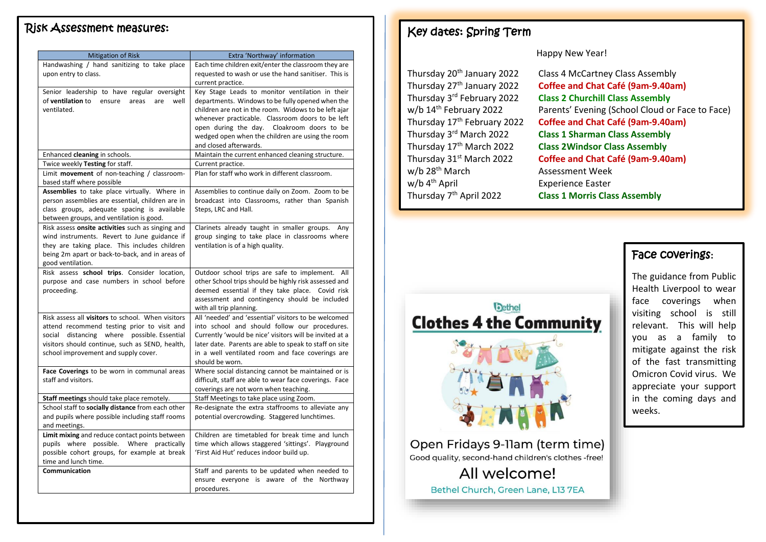#### Risk Assessment measures:

| <b>Mitigation of Risk</b>                                                      | Extra 'Northway' information                                                    |
|--------------------------------------------------------------------------------|---------------------------------------------------------------------------------|
| Handwashing / hand sanitizing to take place                                    | Each time children exit/enter the classroom they are                            |
| upon entry to class.                                                           | requested to wash or use the hand sanitiser. This is                            |
|                                                                                | current practice.                                                               |
| Senior leadership to have regular oversight                                    | Key Stage Leads to monitor ventilation in their                                 |
| of ventilation to<br>ensure<br>areas<br>are<br>well                            | departments. Windows to be fully opened when the                                |
| ventilated.                                                                    | children are not in the room. Widows to be left ajar                            |
|                                                                                | whenever practicable. Classroom doors to be left                                |
|                                                                                | open during the day.<br>Cloakroom doors to be                                   |
|                                                                                | wedged open when the children are using the room<br>and closed afterwards.      |
| Enhanced cleaning in schools.                                                  | Maintain the current enhanced cleaning structure.                               |
|                                                                                |                                                                                 |
| Twice weekly Testing for staff.<br>Limit movement of non-teaching / classroom- | Current practice.<br>Plan for staff who work in different classroom.            |
| based staff where possible                                                     |                                                                                 |
| Assemblies to take place virtually. Where in                                   | Assemblies to continue daily on Zoom. Zoom to be                                |
| person assemblies are essential, children are in                               | broadcast into Classrooms, rather than Spanish                                  |
| class groups, adequate spacing is available                                    | Steps, LRC and Hall.                                                            |
| between groups, and ventilation is good.                                       |                                                                                 |
| Risk assess onsite activities such as singing and                              | Clarinets already taught in smaller groups.<br>Any                              |
| wind instruments. Revert to June guidance if                                   | group singing to take place in classrooms where                                 |
| they are taking place. This includes children                                  | ventilation is of a high quality.                                               |
| being 2m apart or back-to-back, and in areas of                                |                                                                                 |
| good ventilation.                                                              |                                                                                 |
| Risk assess school trips. Consider location,                                   | Outdoor school trips are safe to implement. All                                 |
| purpose and case numbers in school before                                      | other School trips should be highly risk assessed and                           |
| proceeding.                                                                    | deemed essential if they take place. Covid risk                                 |
|                                                                                | assessment and contingency should be included                                   |
| Risk assess all visitors to school. When visitors                              | with all trip planning.<br>All 'needed' and 'essential' visitors to be welcomed |
| attend recommend testing prior to visit and                                    | into school and should follow our procedures.                                   |
| social distancing where possible. Essential                                    | Currently 'would be nice' visitors will be invited at a                         |
| visitors should continue, such as SEND, health,                                | later date. Parents are able to speak to staff on site                          |
| school improvement and supply cover.                                           | in a well ventilated room and face coverings are                                |
|                                                                                | should be worn.                                                                 |
| Face Coverings to be worn in communal areas                                    | Where social distancing cannot be maintained or is                              |
| staff and visitors.                                                            | difficult, staff are able to wear face coverings. Face                          |
|                                                                                | coverings are not worn when teaching.                                           |
| Staff meetings should take place remotely.                                     | Staff Meetings to take place using Zoom.                                        |
| School staff to socially distance from each other                              | Re-designate the extra staffrooms to alleviate any                              |
| and pupils where possible including staff rooms                                | potential overcrowding. Staggered lunchtimes.                                   |
| and meetings.                                                                  |                                                                                 |
| Limit mixing and reduce contact points between                                 | Children are timetabled for break time and lunch                                |
| pupils where possible.<br>Where practically                                    | time which allows staggered 'sittings'. Playground                              |
| possible cohort groups, for example at break<br>time and lunch time.           | 'First Aid Hut' reduces indoor build up.                                        |
| Communication                                                                  | Staff and parents to be updated when needed to                                  |
|                                                                                | ensure everyone is aware of the Northway                                        |
|                                                                                | procedures.                                                                     |
|                                                                                |                                                                                 |

## Key dates: Spring Term

#### Happy New Year!

| Class 4 McCartney Class Assembly                |
|-------------------------------------------------|
| Coffee and Chat Café (9am-9.40am)               |
| <b>Class 2 Churchill Class Assembly</b>         |
| Parents' Evening (School Cloud or Face to Face) |
| Coffee and Chat Café (9am-9.40am)               |
| <b>Class 1 Sharman Class Assembly</b>           |
| <b>Class 2Windsor Class Assembly</b>            |
| Coffee and Chat Café (9am-9.40am)               |
| <b>Assessment Week</b>                          |
| <b>Experience Easter</b>                        |
| <b>Class 1 Morris Class Assembly</b>            |
|                                                 |

## Face coverings**:**

The guidance from Public Health Liverpool to wear face coverings when visiting school is still relevant. This will help you as a family to mitigate against the risk of the fast transmitting Omicron Covid virus. We appreciate your support in the coming days and weeks.



Open Fridays 9-11am (term time) Good quality, second-hand children's clothes -free! All welcome! Bethel Church, Green Lane, L13 7EA